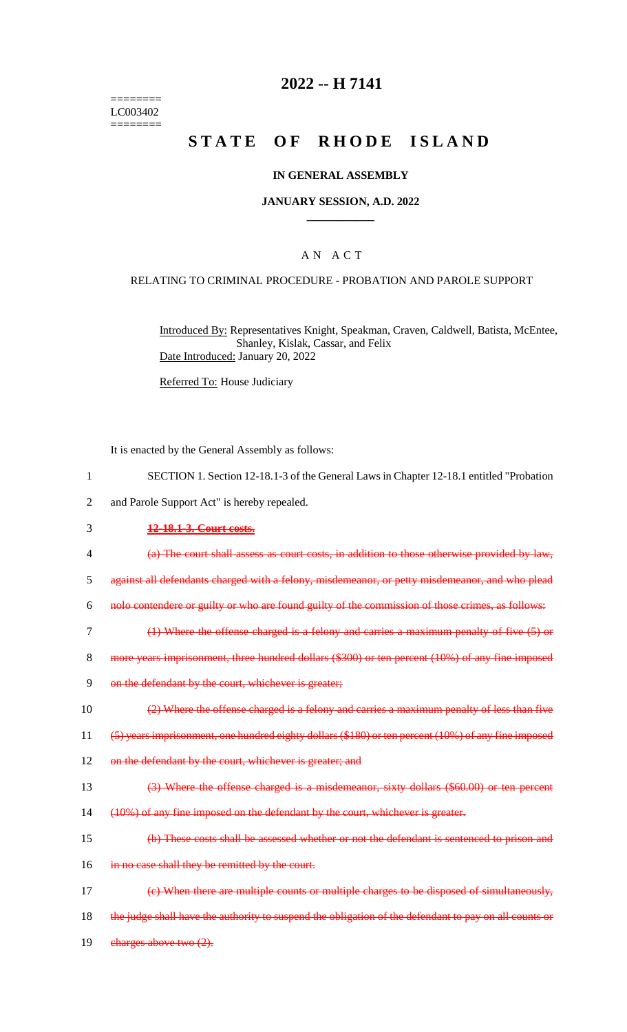======== LC003402 ========

### **2022 -- H 7141**

# **STATE OF RHODE ISLAND**

#### **IN GENERAL ASSEMBLY**

#### **JANUARY SESSION, A.D. 2022 \_\_\_\_\_\_\_\_\_\_\_\_**

### A N A C T

#### RELATING TO CRIMINAL PROCEDURE - PROBATION AND PAROLE SUPPORT

Introduced By: Representatives Knight, Speakman, Craven, Caldwell, Batista, McEntee, Shanley, Kislak, Cassar, and Felix Date Introduced: January 20, 2022

Referred To: House Judiciary

It is enacted by the General Assembly as follows:

| SECTION 1. Section 12-18.1-3 of the General Laws in Chapter 12-18.1 entitled "Probation" |
|------------------------------------------------------------------------------------------|
|------------------------------------------------------------------------------------------|

2 and Parole Support Act" is hereby repealed.

#### 3 **12-18.1-3. Court costs.**

- 4 (a) The court shall assess as court costs, in addition to those otherwise provided by law,
- 5 against all defendants charged with a felony, misdemeanor, or petty misdemeanor, and who plead

6 nolo contendere or guilty or who are found guilty of the commission of those crimes, as follows:

- 7 (1) Where the offense charged is a felony and carries a maximum penalty of five (5) or
- 8 more years imprisonment, three hundred dollars (\$300) or ten percent (10%) of any fine imposed
- 9 on the defendant by the court, whichever is greater;

10 (2) Where the offense charged is a felony and carries a maximum penalty of less than five

11 (5) years imprisonment, one hundred eighty dollars (\$180) or ten percent (10%) of any fine imposed

- 12 on the defendant by the court, whichever is greater; and
- 13 (3) Where the offense charged is a misdemeanor, sixty dollars (\$60.00) or ten percent
- 14 (10%) of any fine imposed on the defendant by the court, whichever is greater.
- 15 (b) These costs shall be assessed whether or not the defendant is sentenced to prison and
- 16 in no case shall they be remitted by the court.

17 (c) When there are multiple counts or multiple charges to be disposed of simultaneously, 18 the judge shall have the authority to suspend the obligation of the defendant to pay on all counts or 19 charges above two  $(2)$ .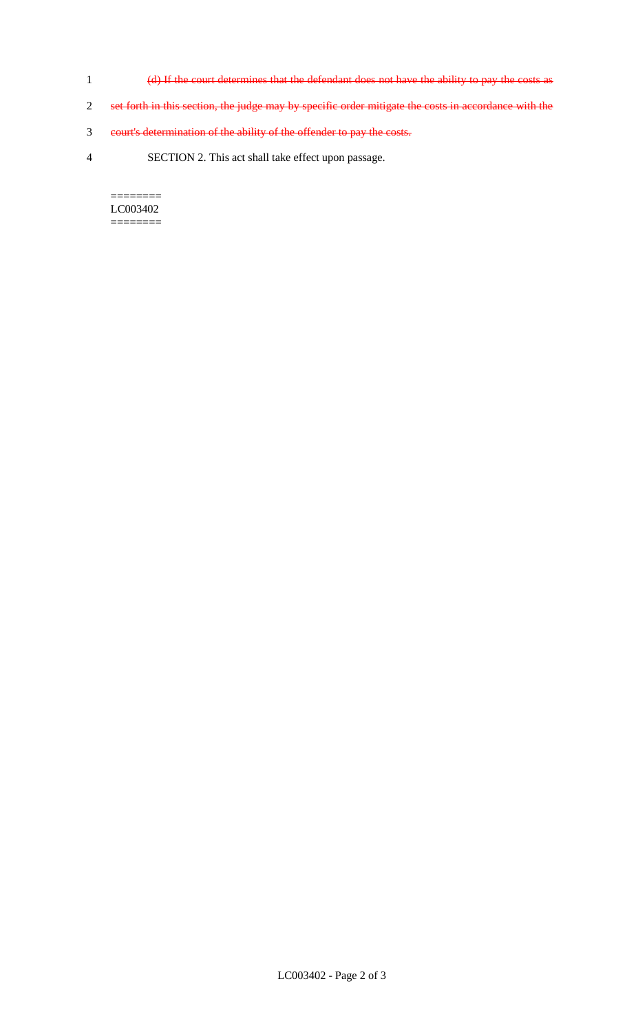- 1 (d) If the court determines that the defendant does not have the ability to pay the costs as
- 2 set forth in this section, the judge may by specific order mitigate the costs in accordance with the
- 3 court's determination of the ability of the offender to pay the costs.
- 4 SECTION 2. This act shall take effect upon passage.

======== LC003402  $=$